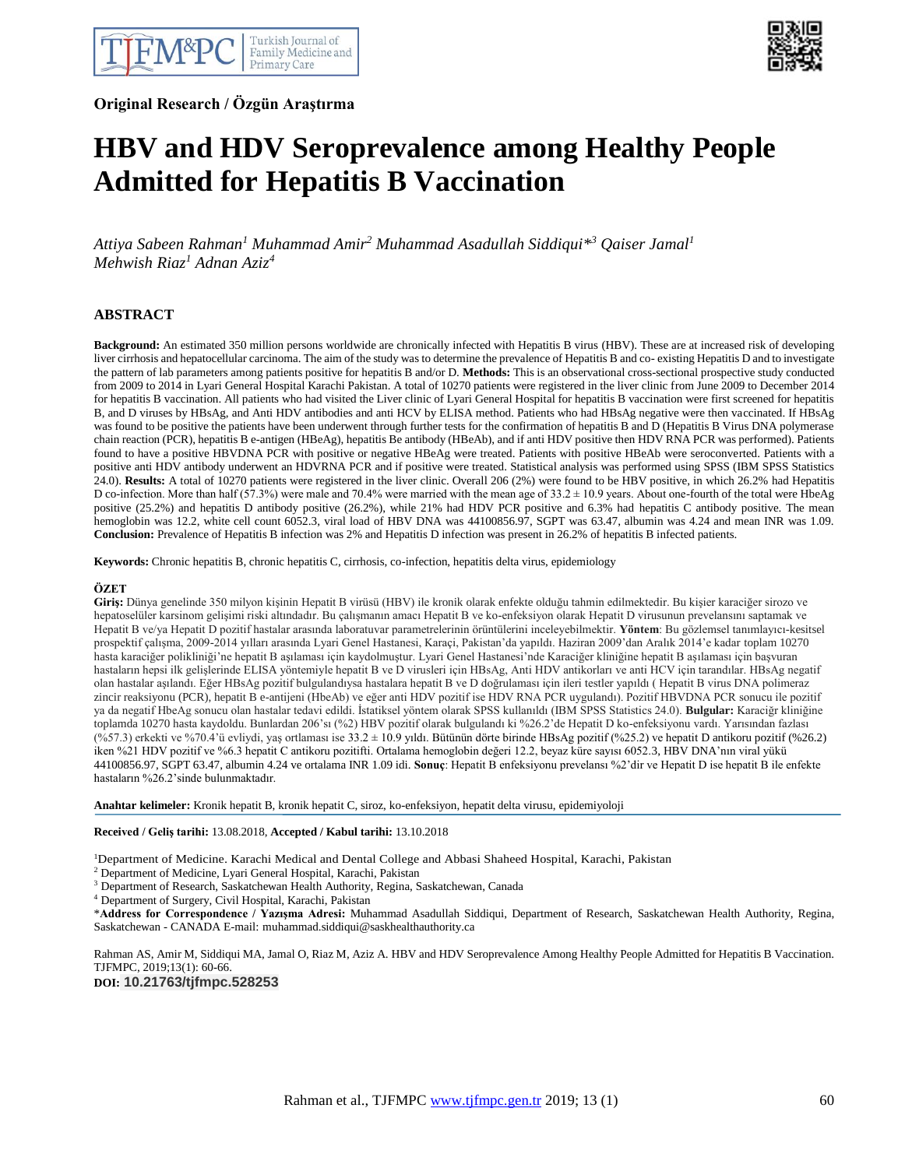**Original Research / Özgün Araştırma**



# **HBV and HDV Seroprevalence among Healthy People Admitted for Hepatitis B Vaccination**

*Attiya Sabeen Rahman<sup>1</sup> Muhammad Amir<sup>2</sup> Muhammad Asadullah Siddiqui\* <sup>3</sup> Qaiser Jamal<sup>1</sup> Mehwish Riaz<sup>1</sup> Adnan Aziz<sup>4</sup>*

 $\overline{a}$ 

## **ABSTRACT**

**Background:** An estimated 350 million persons worldwide are chronically infected with Hepatitis B virus (HBV). These are at increased risk of developing liver cirrhosis and hepatocellular carcinoma. The aim of the study was to determine the prevalence of Hepatitis B and co- existing Hepatitis D and to investigate the pattern of lab parameters among patients positive for hepatitis B and/or D. **Methods:** This is an observational cross-sectional prospective study conducted from 2009 to 2014 in Lyari General Hospital Karachi Pakistan. A total of 10270 patients were registered in the liver clinic from June 2009 to December 2014 for hepatitis B vaccination. All patients who had visited the Liver clinic of Lyari General Hospital for hepatitis B vaccination were first screened for hepatitis B, and D viruses by HBsAg, and Anti HDV antibodies and anti HCV by ELISA method. Patients who had HBsAg negative were then vaccinated. If HBsAg was found to be positive the patients have been underwent through further tests for the confirmation of hepatitis B and D (Hepatitis B Virus DNA polymerase chain reaction (PCR), hepatitis B e-antigen (HBeAg), hepatitis Be antibody (HBeAb), and if anti HDV positive then HDV RNA PCR was performed). Patients found to have a positive HBVDNA PCR with positive or negative HBeAg were treated. Patients with positive HBeAb were seroconverted. Patients with a positive anti HDV antibody underwent an HDVRNA PCR and if positive were treated. Statistical analysis was performed using SPSS (IBM SPSS Statistics 24.0). **Results:** A total of 10270 patients were registered in the liver clinic. Overall 206 (2%) were found to be HBV positive, in which 26.2% had Hepatitis D co-infection. More than half (57.3%) were male and 70.4% were married with the mean age of 33.2  $\pm$  10.9 years. About one-fourth of the total were HbeAg positive (25.2%) and hepatitis D antibody positive (26.2%), while 21% had HDV PCR positive and 6.3% had hepatitis C antibody positive. The mean hemoglobin was 12.2, white cell count 6052.3, viral load of HBV DNA was 44100856.97, SGPT was 63.47, albumin was 4.24 and mean INR was 1.09. **Conclusion:** Prevalence of Hepatitis B infection was 2% and Hepatitis D infection was present in 26.2% of hepatitis B infected patients.

**Keywords:** Chronic hepatitis B, chronic hepatitis C, cirrhosis, co-infection, hepatitis delta virus, epidemiology

#### **ÖZET**

**Giriş:** Dünya genelinde 350 milyon kişinin Hepatit B virüsü (HBV) ile kronik olarak enfekte olduğu tahmin edilmektedir. Bu kişier karaciğer sirozo ve hepatoselüler karsinom gelişimi riski altındadır. Bu çalışmanın amacı Hepatit B ve ko-enfeksiyon olarak Hepatit D virusunun prevelansını saptamak ve Hepatit B ve/ya Hepatit D pozitif hastalar arasında laboratuvar parametrelerinin örüntülerini inceleyebilmektir. **Yöntem**: Bu gözlemsel tanımlayıcı-kesitsel prospektif çalışma, 2009-2014 yılları arasında Lyari Genel Hastanesi, Karaçi, Pakistan'da yapıldı. Haziran 2009'dan Aralık 2014'e kadar toplam 10270 hasta karaciğer polikliniği'ne hepatit B aşılaması için kaydolmuştur. Lyari Genel Hastanesi'nde Karaciğer kliniğine hepatit B aşılaması için başvuran hastaların hepsi ilk gelişlerinde ELISA yöntemiyle hepatit B ve D virusleri için HBsAg, Anti HDV antikorları ve anti HCV için tarandılar. HBsAg negatif olan hastalar aşılandı. Eğer HBsAg pozitif bulgulandıysa hastalara hepatit B ve D doğrulaması için ileri testler yapıldı ( Hepatit B virus DNA polimeraz zincir reaksiyonu (PCR), hepatit B e-antijeni (HbeAb) ve eğer anti HDV pozitif ise HDV RNA PCR uygulandı). Pozitif HBVDNA PCR sonucu ile pozitif ya da negatif HbeAg sonucu olan hastalar tedavi edildi. İstatiksel yöntem olarak SPSS kullanıldı (IBM SPSS Statistics 24.0). **Bulgular:** Karaciğr kliniğine toplamda 10270 hasta kaydoldu. Bunlardan 206'sı (%2) HBV pozitif olarak bulgulandı ki %26.2'de Hepatit D ko-enfeksiyonu vardı. Yarısından fazlası (%57.3) erkekti ve %70.4'ü evliydi, yaş ortlaması ise 33.2 ± 10.9 yıldı. Bütünün dörte birinde HBsAg pozitif (%25.2) ve hepatit D antikoru pozitif (%26.2) iken %21 HDV pozitif ve %6.3 hepatit C antikoru pozitifti. Ortalama hemoglobin değeri 12.2, beyaz küre sayısı 6052.3, HBV DNA'nın viral yükü 44100856.97, SGPT 63.47, albumin 4.24 ve ortalama INR 1.09 idi. **Sonuç**: Hepatit B enfeksiyonu prevelansı %2'dir ve Hepatit D ise hepatit B ile enfekte hastaların %26.2'sinde bulunmaktadır.

**Anahtar kelimeler:** Kronik hepatit B, kronik hepatit C, siroz, ko-enfeksiyon, hepatit delta virusu, epidemiyoloji

**Received / Geliş tarihi:** 13.08.2018, **Accepted / Kabul tarihi:** 13.10.2018

<sup>1</sup>Department of Medicine. Karachi Medical and Dental College and Abbasi Shaheed Hospital, Karachi, Pakistan

<sup>2</sup> Department of Medicine, Lyari General Hospital, Karachi, Pakistan

<sup>3</sup> Department of Research, Saskatchewan Health Authority, Regina, Saskatchewan, Canada

<sup>4</sup> Department of Surgery, Civil Hospital, Karachi, Pakistan

\***Address for Correspondence / Yazışma Adresi:** Muhammad Asadullah Siddiqui, Department of Research, Saskatchewan Health Authority, Regina, Saskatchewan - CANADA E-mail: muhammad.siddiqui@saskhealthauthority.ca

Rahman AS, Amir M, Siddiqui MA, Jamal O, Riaz M, Aziz A. HBV and HDV Seroprevalence Among Healthy People Admitted for Hepatitis B Vaccination. TJFMPC, 2019;13(1): 60-66.

**DOI: 10.21763/tjfmpc.528253**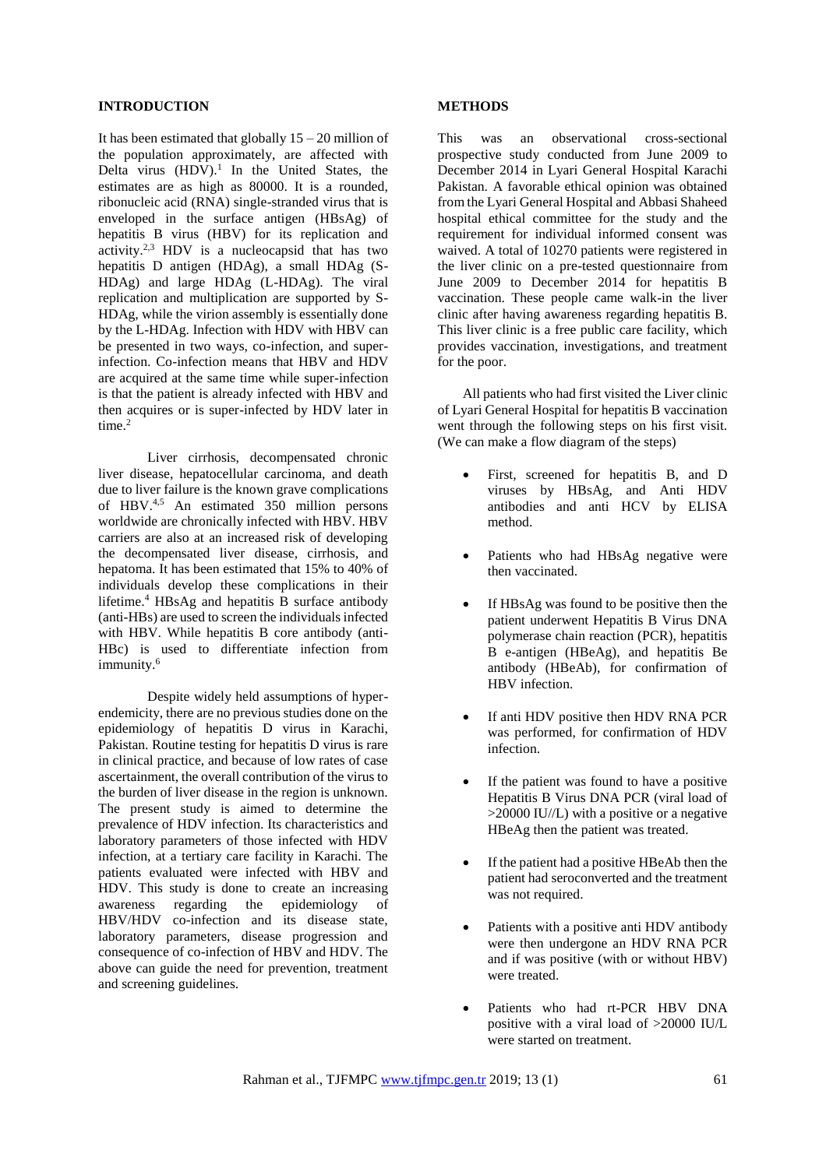## **INTRODUCTION**

It has been estimated that globally  $15 - 20$  million of the population approximately, are affected with Delta virus  $(HDV)$ .<sup>1</sup> In the United States, the estimates are as high as 80000. It is a rounded, ribonucleic acid (RNA) single-stranded virus that is enveloped in the surface antigen (HBsAg) of hepatitis B virus (HBV) for its replication and activity.2,3 HDV is a nucleocapsid that has two hepatitis D antigen (HDAg), a small HDAg (S-HDAg) and large HDAg (L-HDAg). The viral replication and multiplication are supported by S-HDAg, while the virion assembly is essentially done by the L-HDAg. Infection with HDV with HBV can be presented in two ways, co-infection, and superinfection. Co-infection means that HBV and HDV are acquired at the same time while super-infection is that the patient is already infected with HBV and then acquires or is super-infected by HDV later in time.<sup>2</sup>

Liver cirrhosis, decompensated chronic liver disease, hepatocellular carcinoma, and death due to liver failure is the known grave complications of HBV.4,5 An estimated 350 million persons worldwide are chronically infected with HBV. HBV carriers are also at an increased risk of developing the decompensated liver disease, cirrhosis, and hepatoma. It has been estimated that 15% to 40% of individuals develop these complications in their lifetime.<sup>4</sup> HBsAg and hepatitis  $\overline{B}$  surface antibody (anti-HBs) are used to screen the individuals infected with HBV. While hepatitis B core antibody (anti-HBc) is used to differentiate infection from immunity.<sup>6</sup>

Despite widely held assumptions of hyperendemicity, there are no previous studies done on the epidemiology of hepatitis D virus in Karachi, Pakistan. Routine testing for hepatitis D virus is rare in clinical practice, and because of low rates of case ascertainment, the overall contribution of the virus to the burden of liver disease in the region is unknown. The present study is aimed to determine the prevalence of HDV infection. Its characteristics and laboratory parameters of those infected with HDV infection, at a tertiary care facility in Karachi. The patients evaluated were infected with HBV and HDV. This study is done to create an increasing awareness regarding the epidemiology of HBV/HDV co-infection and its disease state, laboratory parameters, disease progression and consequence of co-infection of HBV and HDV. The above can guide the need for prevention, treatment and screening guidelines.

#### **METHODS**

This was an observational cross-sectional prospective study conducted from June 2009 to December 2014 in Lyari General Hospital Karachi Pakistan. A favorable ethical opinion was obtained from the Lyari General Hospital and Abbasi Shaheed hospital ethical committee for the study and the requirement for individual informed consent was waived. A total of 10270 patients were registered in the liver clinic on a pre-tested questionnaire from June 2009 to December 2014 for hepatitis B vaccination. These people came walk-in the liver clinic after having awareness regarding hepatitis B. This liver clinic is a free public care facility, which provides vaccination, investigations, and treatment for the poor.

All patients who had first visited the Liver clinic of Lyari General Hospital for hepatitis B vaccination went through the following steps on his first visit. (We can make a flow diagram of the steps)

- First, screened for hepatitis B, and D viruses by HBsAg, and Anti HDV antibodies and anti HCV by ELISA method.
- Patients who had HBsAg negative were then vaccinated.
- If HBsAg was found to be positive then the patient underwent Hepatitis B Virus DNA polymerase chain reaction (PCR), hepatitis B e-antigen (HBeAg), and hepatitis Be antibody (HBeAb), for confirmation of HBV infection.
- If anti HDV positive then HDV RNA PCR was performed, for confirmation of HDV infection.
- If the patient was found to have a positive Hepatitis B Virus DNA PCR (viral load of >20000 IU//L) with a positive or a negative HBeAg then the patient was treated.
- If the patient had a positive HBeAb then the patient had seroconverted and the treatment was not required.
- Patients with a positive anti HDV antibody were then undergone an HDV RNA PCR and if was positive (with or without HBV) were treated.
- Patients who had rt-PCR HBV DNA positive with a viral load of >20000 IU/L were started on treatment.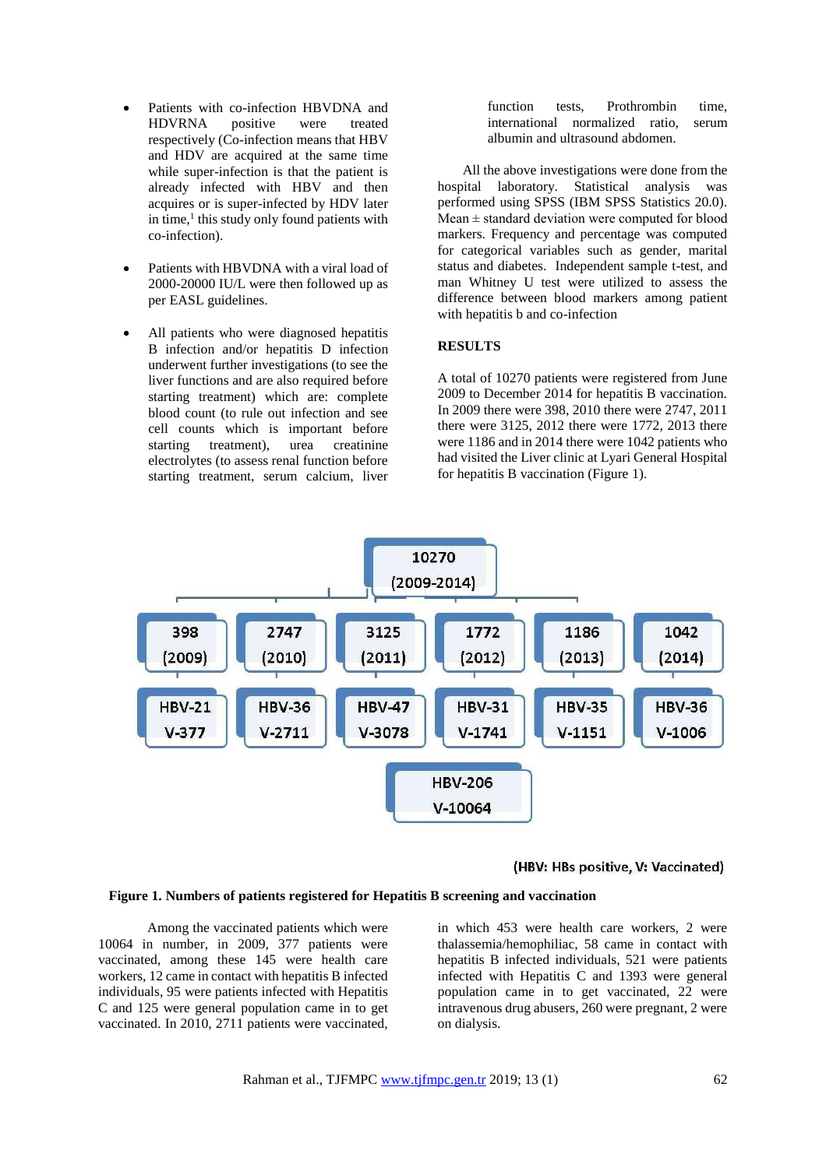- Patients with co-infection HBVDNA and HDVRNA positive were treated respectively (Co-infection means that HBV and HDV are acquired at the same time while super-infection is that the patient is already infected with HBV and then acquires or is super-infected by HDV later in time,<sup>1</sup> this study only found patients with co-infection).
- Patients with HBVDNA with a viral load of 2000-20000 IU/L were then followed up as per EASL guidelines.
- All patients who were diagnosed hepatitis B infection and/or hepatitis D infection underwent further investigations (to see the liver functions and are also required before starting treatment) which are: complete blood count (to rule out infection and see cell counts which is important before starting treatment), urea creatinine electrolytes (to assess renal function before starting treatment, serum calcium, liver

function tests, Prothrombin time, international normalized ratio, serum albumin and ultrasound abdomen.

All the above investigations were done from the hospital laboratory. Statistical analysis was performed using SPSS (IBM SPSS Statistics 20.0). Mean  $\pm$  standard deviation were computed for blood markers. Frequency and percentage was computed for categorical variables such as gender, marital status and diabetes. Independent sample t-test, and man Whitney U test were utilized to assess the difference between blood markers among patient with hepatitis b and co-infection

## **RESULTS**

A total of 10270 patients were registered from June 2009 to December 2014 for hepatitis B vaccination. In 2009 there were 398, 2010 there were 2747, 2011 there were 3125, 2012 there were 1772, 2013 there were 1186 and in 2014 there were 1042 patients who had visited the Liver clinic at Lyari General Hospital for hepatitis B vaccination (Figure 1).



#### (HBV: HBs positive, V: Vaccinated)

## **Figure 1. Numbers of patients registered for Hepatitis B screening and vaccination**

Among the vaccinated patients which were 10064 in number, in 2009, 377 patients were vaccinated, among these 145 were health care workers, 12 came in contact with hepatitis B infected individuals, 95 were patients infected with Hepatitis C and 125 were general population came in to get vaccinated. In 2010, 2711 patients were vaccinated, in which 453 were health care workers, 2 were thalassemia/hemophiliac, 58 came in contact with hepatitis B infected individuals, 521 were patients infected with Hepatitis C and 1393 were general population came in to get vaccinated, 22 were intravenous drug abusers, 260 were pregnant, 2 were on dialysis.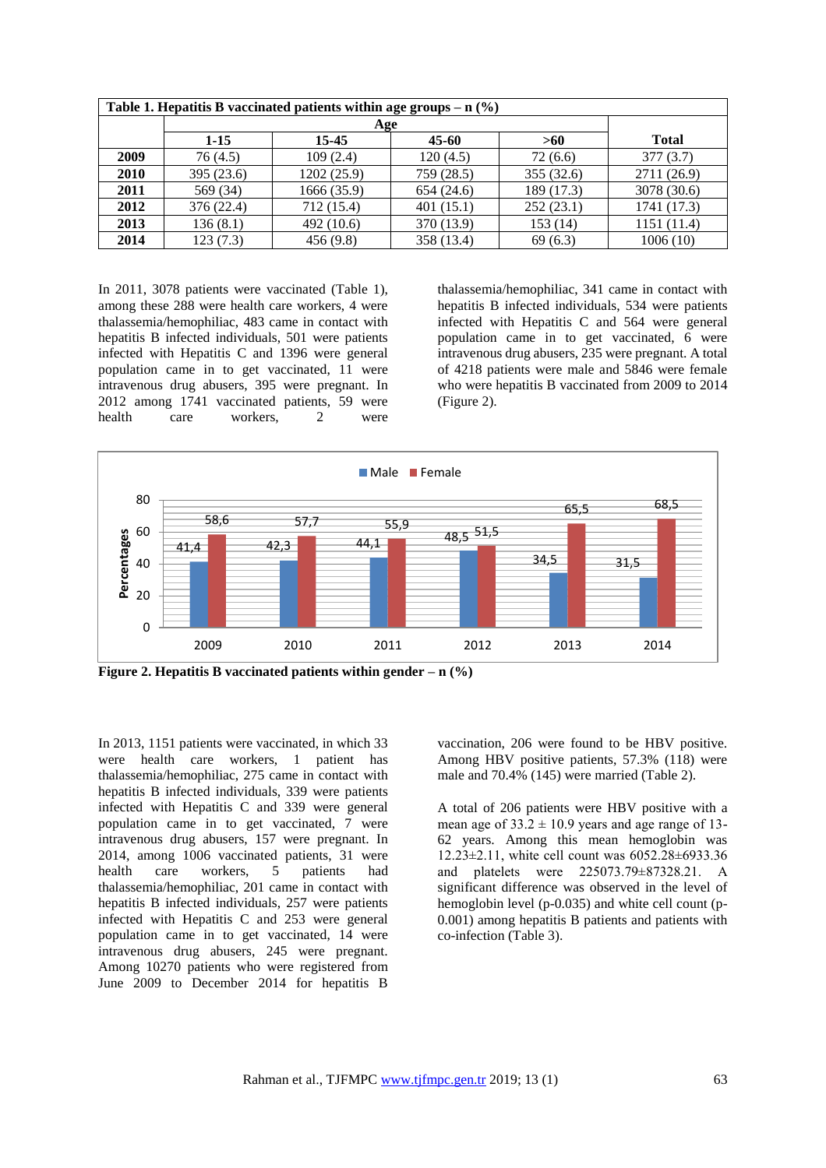| Table 1. Hepatitis B vaccinated patients within age groups $- n$ (%) |            |             |            |            |              |  |  |  |  |
|----------------------------------------------------------------------|------------|-------------|------------|------------|--------------|--|--|--|--|
|                                                                      |            |             |            |            |              |  |  |  |  |
|                                                                      | $1-15$     | 15-45       | $45 - 60$  | >60        | <b>Total</b> |  |  |  |  |
| 2009                                                                 | 76(4.5)    | 109(2.4)    | 120(4.5)   | 72(6.6)    | 377(3.7)     |  |  |  |  |
| 2010                                                                 | 395 (23.6) | 1202 (25.9) | 759 (28.5) | 355 (32.6) | 2711 (26.9)  |  |  |  |  |
| 2011                                                                 | 569 (34)   | 1666 (35.9) | 654(24.6)  | 189 (17.3) | 3078 (30.6)  |  |  |  |  |
| 2012                                                                 | 376 (22.4) | 712 (15.4)  | 401(15.1)  | 252(23.1)  | 1741 (17.3)  |  |  |  |  |
| 2013                                                                 | 136(8.1)   | 492 (10.6)  | 370 (13.9) | 153 (14)   | 1151 (11.4)  |  |  |  |  |
| 2014                                                                 | 123(7.3)   | 456(9.8)    | 358 (13.4) | 69(6.3)    | 1006(10)     |  |  |  |  |

In 2011, 3078 patients were vaccinated (Table 1), among these 288 were health care workers, 4 were thalassemia/hemophiliac, 483 came in contact with hepatitis B infected individuals, 501 were patients infected with Hepatitis C and 1396 were general population came in to get vaccinated, 11 were intravenous drug abusers, 395 were pregnant. In 2012 among 1741 vaccinated patients, 59 were health care workers, 2 were

thalassemia/hemophiliac, 341 came in contact with hepatitis B infected individuals, 534 were patients infected with Hepatitis C and 564 were general population came in to get vaccinated, 6 were intravenous drug abusers, 235 were pregnant. A total of 4218 patients were male and 5846 were female who were hepatitis B vaccinated from 2009 to 2014 (Figure 2).



**Figure 2. Hepatitis B vaccinated patients within gender – n (%)**

In 2013, 1151 patients were vaccinated, in which 33 were health care workers, 1 patient has thalassemia/hemophiliac, 275 came in contact with hepatitis B infected individuals, 339 were patients infected with Hepatitis C and 339 were general population came in to get vaccinated, 7 were intravenous drug abusers, 157 were pregnant. In 2014, among 1006 vaccinated patients, 31 were health care workers, 5 patients had thalassemia/hemophiliac, 201 came in contact with hepatitis B infected individuals, 257 were patients infected with Hepatitis C and 253 were general population came in to get vaccinated, 14 were intravenous drug abusers, 245 were pregnant. Among 10270 patients who were registered from June 2009 to December 2014 for hepatitis B vaccination, 206 were found to be HBV positive. Among HBV positive patients, 57.3% (118) were male and 70.4% (145) were married (Table 2).

A total of 206 patients were HBV positive with a mean age of  $33.2 \pm 10.9$  years and age range of 13-62 years. Among this mean hemoglobin was 12.23±2.11, white cell count was 6052.28±6933.36 and platelets were 225073.79±87328.21. A significant difference was observed in the level of hemoglobin level (p-0.035) and white cell count (p-0.001) among hepatitis B patients and patients with co-infection (Table 3).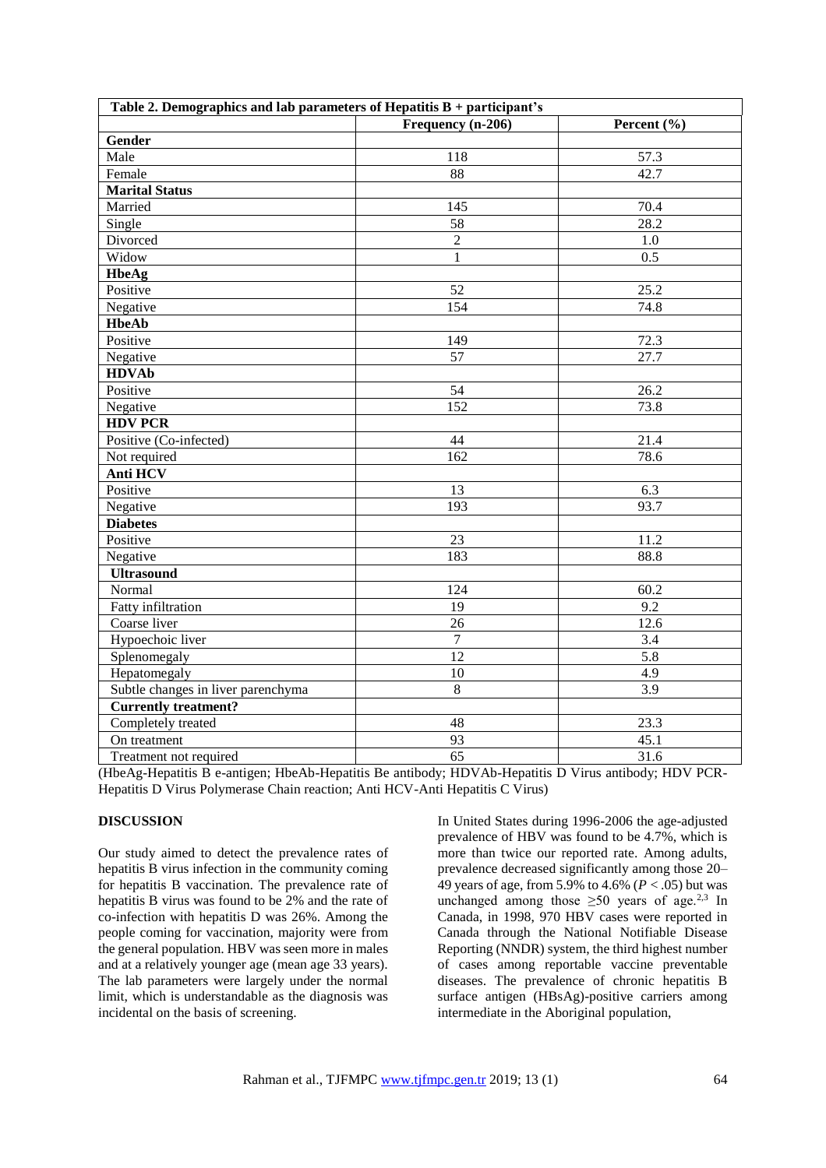| Table 2. Demographics and lab parameters of Hepatitis $B +$ participant's |                   |                   |  |  |  |  |  |
|---------------------------------------------------------------------------|-------------------|-------------------|--|--|--|--|--|
|                                                                           | Frequency (n-206) | Percent (%)       |  |  |  |  |  |
| Gender                                                                    |                   |                   |  |  |  |  |  |
| Male                                                                      | 118               | 57.3              |  |  |  |  |  |
| Female                                                                    | 88                | 42.7              |  |  |  |  |  |
| <b>Marital Status</b>                                                     |                   |                   |  |  |  |  |  |
| Married                                                                   | 145               | 70.4              |  |  |  |  |  |
| Single                                                                    | 58                | $\overline{28.2}$ |  |  |  |  |  |
| Divorced                                                                  | $\overline{2}$    | 1.0               |  |  |  |  |  |
| Widow                                                                     | $\mathbf{1}$      | $\overline{0.5}$  |  |  |  |  |  |
| <b>HbeAg</b>                                                              |                   |                   |  |  |  |  |  |
| Positive                                                                  | 52                | 25.2              |  |  |  |  |  |
| Negative                                                                  | 154               | 74.8              |  |  |  |  |  |
| <b>HbeAb</b>                                                              |                   |                   |  |  |  |  |  |
| Positive                                                                  | 149               | 72.3              |  |  |  |  |  |
| Negative                                                                  | 57                | 27.7              |  |  |  |  |  |
| <b>HDVAb</b>                                                              |                   |                   |  |  |  |  |  |
| Positive                                                                  | 54                | 26.2              |  |  |  |  |  |
| Negative                                                                  | 152               | 73.8              |  |  |  |  |  |
| <b>HDV PCR</b>                                                            |                   |                   |  |  |  |  |  |
| Positive (Co-infected)                                                    | 44                | 21.4              |  |  |  |  |  |
| Not required                                                              | 162               | 78.6              |  |  |  |  |  |
| Anti HCV                                                                  |                   |                   |  |  |  |  |  |
| Positive                                                                  | 13                | 6.3               |  |  |  |  |  |
| Negative                                                                  | $\overline{193}$  | 93.7              |  |  |  |  |  |
| <b>Diabetes</b>                                                           |                   |                   |  |  |  |  |  |
| Positive                                                                  | $\overline{23}$   | 11.2              |  |  |  |  |  |
| Negative                                                                  | 183               | 88.8              |  |  |  |  |  |
| <b>Ultrasound</b>                                                         |                   |                   |  |  |  |  |  |
| Normal                                                                    | 124               | 60.2              |  |  |  |  |  |
| Fatty infiltration                                                        | 19                | 9.2               |  |  |  |  |  |
| Coarse liver                                                              | 26                | 12.6              |  |  |  |  |  |
| Hypoechoic liver                                                          | $\overline{7}$    | 3.4               |  |  |  |  |  |
| Splenomegaly                                                              | 12                | 5.8               |  |  |  |  |  |
| Hepatomegaly                                                              | 10                | 4.9               |  |  |  |  |  |
| Subtle changes in liver parenchyma                                        | 8                 | 3.9               |  |  |  |  |  |
| <b>Currently treatment?</b>                                               |                   |                   |  |  |  |  |  |
| Completely treated                                                        | 48                | 23.3              |  |  |  |  |  |
| On treatment                                                              | 93                | 45.1              |  |  |  |  |  |
| Treatment not required                                                    | $\overline{65}$   | 31.6              |  |  |  |  |  |

(HbeAg-Hepatitis B e-antigen; HbeAb-Hepatitis Be antibody; HDVAb-Hepatitis D Virus antibody; HDV PCR-Hepatitis D Virus Polymerase Chain reaction; Anti HCV-Anti Hepatitis C Virus)

# **DISCUSSION**

Our study aimed to detect the prevalence rates of hepatitis B virus infection in the community coming for hepatitis B vaccination. The prevalence rate of hepatitis B virus was found to be 2% and the rate of co-infection with hepatitis D was 26%. Among the people coming for vaccination, majority were from the general population. HBV was seen more in males and at a relatively younger age (mean age 33 years). The lab parameters were largely under the normal limit, which is understandable as the diagnosis was incidental on the basis of screening.

In United States during 1996-2006 the age-adjusted prevalence of HBV was found to be 4.7%, which is more than twice our reported rate. Among adults, prevalence decreased significantly among those 20– 49 years of age, from 5.9% to 4.6% (*P* < .05) but was unchanged among those  $\geq 50$  years of age.<sup>2,3</sup> In Canada, in 1998, 970 HBV cases were reported in Canada through the National Notifiable Disease Reporting (NNDR) system, the third highest number of cases among reportable vaccine preventable diseases. The prevalence of chronic hepatitis B surface antigen (HBsAg)-positive carriers among intermediate in the Aboriginal population,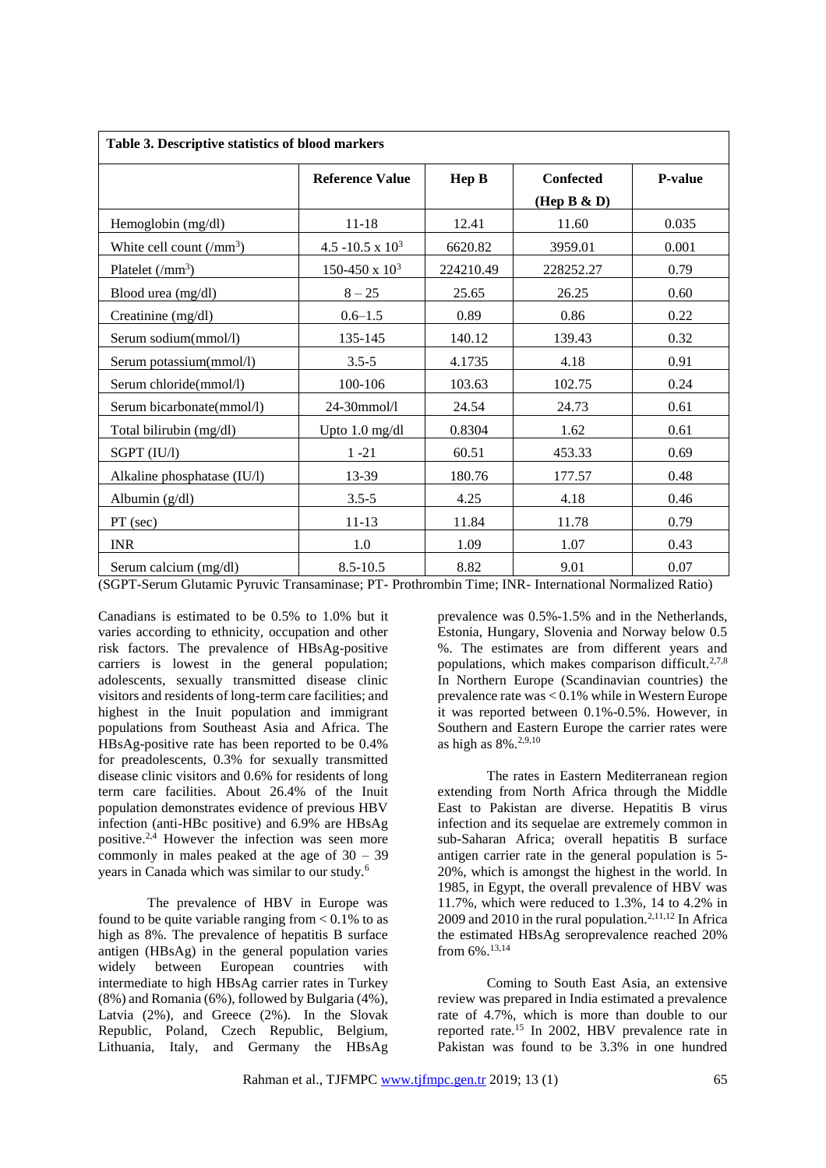| Table 3. Descriptive statistics of blood markers |                        |           |                  |                |  |  |  |  |
|--------------------------------------------------|------------------------|-----------|------------------|----------------|--|--|--|--|
|                                                  | <b>Reference Value</b> | Hep B     | <b>Confected</b> | <b>P-value</b> |  |  |  |  |
|                                                  |                        |           | (Hep B $\& D$ )  |                |  |  |  |  |
| Hemoglobin (mg/dl)                               | $11 - 18$              | 12.41     | 11.60            | 0.035          |  |  |  |  |
| White cell count $(\text{/mm}^3)$                | 4.5 -10.5 x $10^3$     | 6620.82   | 3959.01          | 0.001          |  |  |  |  |
| Platelet $\rm(Nmm^3)$                            | 150-450 x $10^3$       | 224210.49 | 228252.27        | 0.79           |  |  |  |  |
| Blood urea (mg/dl)                               | $8 - 25$               | 25.65     | 26.25            | 0.60           |  |  |  |  |
| Creatinine (mg/dl)                               | $0.6 - 1.5$            | 0.89      | 0.86             | 0.22           |  |  |  |  |
| Serum sodium(mmol/l)                             | 135-145                | 140.12    | 139.43           | 0.32           |  |  |  |  |
| Serum potassium(mmol/l)                          | $3.5 - 5$              | 4.1735    | 4.18             | 0.91           |  |  |  |  |
| Serum chloride(mmol/l)                           | 100-106                | 103.63    | 102.75           | 0.24           |  |  |  |  |
| Serum bicarbonate(mmol/l)                        | 24-30mmol/l            | 24.54     | 24.73            | 0.61           |  |  |  |  |
| Total bilirubin (mg/dl)                          | Upto 1.0 mg/dl         | 0.8304    | 1.62             | 0.61           |  |  |  |  |
| SGPT (IU/l)                                      | $1 - 21$               | 60.51     | 453.33           | 0.69           |  |  |  |  |
| Alkaline phosphatase (IU/l)                      | 13-39                  | 180.76    | 177.57           | 0.48           |  |  |  |  |
| Albumin $(g/dl)$                                 | $3.5 - 5$              | 4.25      | 4.18             | 0.46           |  |  |  |  |
| PT (sec)                                         | 11-13                  | 11.84     | 11.78            | 0.79           |  |  |  |  |
| <b>INR</b>                                       | 1.0                    | 1.09      | 1.07             | 0.43           |  |  |  |  |
| Serum calcium (mg/dl)                            | $8.5 - 10.5$           | 8.82      | 9.01             | 0.07           |  |  |  |  |

(SGPT-Serum Glutamic Pyruvic Transaminase; PT- Prothrombin Time; INR- International Normalized Ratio)

Canadians is estimated to be 0.5% to 1.0% but it varies according to ethnicity, occupation and other risk factors. The prevalence of HBsAg-positive carriers is lowest in the general population; adolescents, sexually transmitted disease clinic visitors and residents of long-term care facilities; and highest in the Inuit population and immigrant populations from Southeast Asia and Africa. The HBsAg-positive rate has been reported to be 0.4% for preadolescents, 0.3% for sexually transmitted disease clinic visitors and 0.6% for residents of long term care facilities. About 26.4% of the Inuit population demonstrates evidence of previous HBV infection (anti-HBc positive) and 6.9% are HBsAg positive.2,4 However the infection was seen more commonly in males peaked at the age of 30 – 39 years in Canada which was similar to our study.<sup>6</sup>

The prevalence of HBV in Europe was found to be quite variable ranging from  $< 0.1\%$  to as high as 8%. The prevalence of hepatitis B surface antigen (HBsAg) in the general population varies widely between European countries with intermediate to high HBsAg carrier rates in Turkey (8%) and Romania (6%), followed by Bulgaria (4%), Latvia (2%), and Greece (2%). In the Slovak Republic, Poland, Czech Republic, Belgium, Lithuania, Italy, and Germany the HBsAg prevalence was 0.5%-1.5% and in the Netherlands, Estonia, Hungary, Slovenia and Norway below 0.5 %. The estimates are from different years and populations, which makes comparison difficult.<sup>2,7,8</sup> In Northern Europe (Scandinavian countries) the prevalence rate was < 0.1% while in Western Europe it was reported between 0.1%-0.5%. However, in Southern and Eastern Europe the carrier rates were as high as 8%.2,9,10

The rates in Eastern Mediterranean region extending from North Africa through the Middle East to Pakistan are diverse. Hepatitis B virus infection and its sequelae are extremely common in sub-Saharan Africa; overall hepatitis B surface antigen carrier rate in the general population is 5- 20%, which is amongst the highest in the world. In 1985, in Egypt, the overall prevalence of HBV was 11.7%, which were reduced to 1.3%, 14 to 4.2% in 2009 and 2010 in the rural population.<sup>2,11,12</sup> In Africa the estimated HBsAg seroprevalence reached 20% from 6%.13,14

Coming to South East Asia, an extensive review was prepared in India estimated a prevalence rate of 4.7%, which is more than double to our reported rate.<sup>15</sup> In 2002, HBV prevalence rate in Pakistan was found to be 3.3% in one hundred